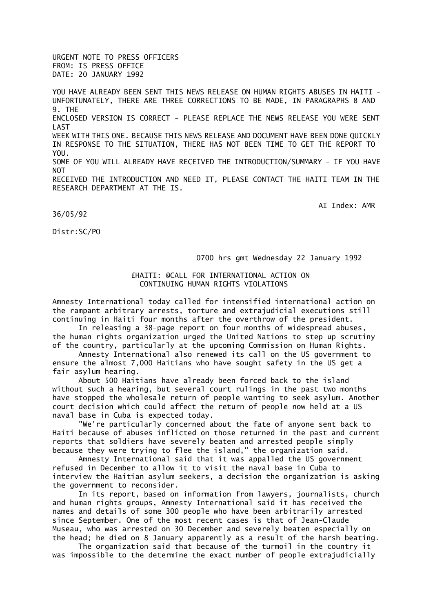URGENT NOTE TO PRESS OFFICERS FROM: IS PRESS OFFICE DATE: 20 JANUARY 1992

YOU HAVE ALREADY BEEN SENT THIS NEWS RELEASE ON HUMAN RIGHTS ABUSES IN HAITI -UNFORTUNATELY, THERE ARE THREE CORRECTIONS TO BE MADE, IN PARAGRAPHS 8 AND 9. THE ENCLOSED VERSION IS CORRECT - PLEASE REPLACE THE NEWS RELEASE YOU WERE SENT LAST WEEK WITH THIS ONE. BECAUSE THIS NEWS RELEASE AND DOCUMENT HAVE BEEN DONE OUTCKLY IN RESPONSE TO THE SITUATION, THERE HAS NOT BEEN TIME TO GET THE REPORT TO YOU. SOME OF YOU WILL ALREADY HAVE RECEIVED THE INTRODUCTION/SUMMARY - IF YOU HAVE **NOT** RECEIVED THE INTRODUCTION AND NEED IT, PLEASE CONTACT THE HAITI TEAM IN THE RESEARCH DEPARTMENT AT THE IS.

AI Index: AMR

36/05/92

Distr:SC/PO

0700 hrs gmt Wednesday 22 January 1992

## £HAITI: @CALL FOR INTERNATIONAL ACTION ON CONTINUING HUMAN RIGHTS VIOLATIONS

Amnesty International today called for intensified international action on the rampant arbitrary arrests, torture and extrajudicial executions still continuing in Haiti four months after the overthrow of the president.

 In releasing a 38-page report on four months of widespread abuses, the human rights organization urged the United Nations to step up scrutiny of the country, particularly at the upcoming Commission on Human Rights.

 Amnesty International also renewed its call on the US government to ensure the almost 7,000 Haitians who have sought safety in the US get a fair asylum hearing.

 About 500 Haitians have already been forced back to the island without such a hearing, but several court rulings in the past two months have stopped the wholesale return of people wanting to seek asylum. Another court decision which could affect the return of people now held at a US naval base in Cuba is expected today.

 "We're particularly concerned about the fate of anyone sent back to Haiti because of abuses inflicted on those returned in the past and current reports that soldiers have severely beaten and arrested people simply because they were trying to flee the island," the organization said.

 Amnesty International said that it was appalled the US government refused in December to allow it to visit the naval base in Cuba to interview the Haitian asylum seekers, a decision the organization is asking the government to reconsider.

 In its report, based on information from lawyers, journalists, church and human rights groups, Amnesty International said it has received the names and details of some 300 people who have been arbitrarily arrested since September. One of the most recent cases is that of Jean-Claude Museau, who was arrested on 30 December and severely beaten especially on the head; he died on 8 January apparently as a result of the harsh beating.

 The organization said that because of the turmoil in the country it was impossible to the determine the exact number of people extrajudicially